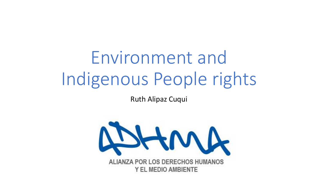# Environment and Indigenous People rights

Ruth Alipaz Cuqui

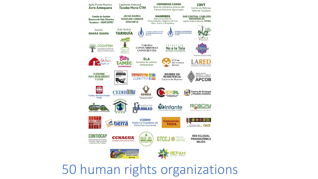

### 50 human rights organizations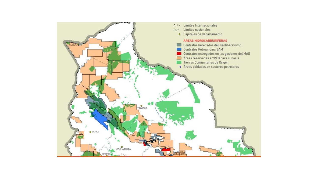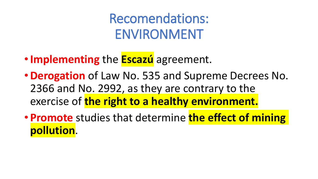Recomendations: ENVIRONMENT

- •**Implementing** the **Escazú** agreement.
- •**Derogation** of Law No. 535 and Supreme Decrees No. 2366 and No. 2992, as they are contrary to the exercise of **the right to a healthy environment.**
- **Promote** studies that determine **the effect of mining pollution**.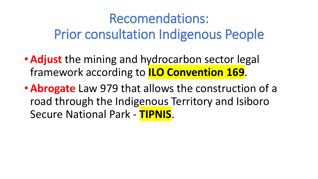# Recomendations: Prior consultation Indigenous People

- •**Adjust** the mining and hydrocarbon sector legal framework according to **ILO Convention 169**.
- •**Abrogate** Law 979 that allows the construction of a road through the Indigenous Territory and Isiboro Secure National Park - **TIPNIS**.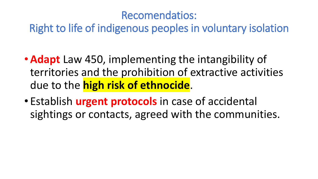#### Recomendatios:

Right to life of indigenous peoples in voluntary isolation

- •**Adapt** Law 450, implementing the intangibility of territories and the prohibition of extractive activities due to the **high risk of ethnocide**.
- Establish **urgent protocols** in case of accidental sightings or contacts, agreed with the communities.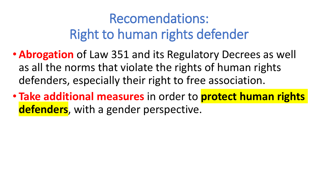# Recomendations: Right to human rights defender

- •**Abrogation** of Law 351 and its Regulatory Decrees as well as all the norms that violate the rights of human rights defenders, especially their right to free association.
- **Take additional measures** in order to **protect human rights defenders**, with a gender perspective.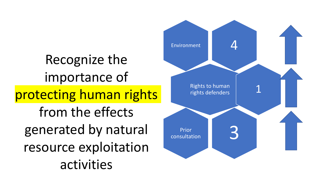Recognize the importance of protecting human rights from the effects generated by natural resource exploitation activities

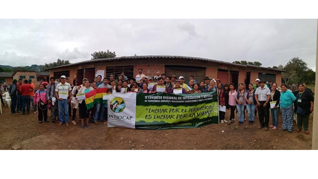